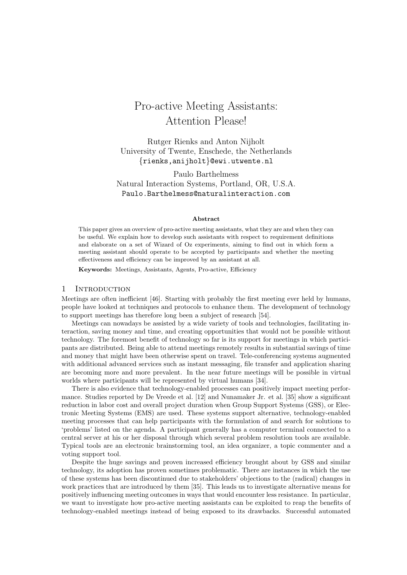# Pro-active Meeting Assistants: Attention Please!

Rutger Rienks and Anton Nijholt University of Twente, Enschede, the Netherlands {rienks,anijholt}@ewi.utwente.nl

Paulo Barthelmess Natural Interaction Systems, Portland, OR, U.S.A. Paulo.Barthelmess@naturalinteraction.com

### Abstract

This paper gives an overview of pro-active meeting assistants, what they are and when they can be useful. We explain how to develop such assistants with respect to requirement definitions and elaborate on a set of Wizard of Oz experiments, aiming to find out in which form a meeting assistant should operate to be accepted by participants and whether the meeting effectiveness and efficiency can be improved by an assistant at all.

Keywords: Meetings, Assistants, Agents, Pro-active, Efficiency

### 1 INTRODUCTION

Meetings are often inefficient [46]. Starting with probably the first meeting ever held by humans, people have looked at techniques and protocols to enhance them. The development of technology to support meetings has therefore long been a subject of research [54].

Meetings can nowadays be assisted by a wide variety of tools and technologies, facilitating interaction, saving money and time, and creating opportunities that would not be possible without technology. The foremost benefit of technology so far is its support for meetings in which participants are distributed. Being able to attend meetings remotely results in substantial savings of time and money that might have been otherwise spent on travel. Tele-conferencing systems augmented with additional advanced services such as instant messaging, file transfer and application sharing are becoming more and more prevalent. In the near future meetings will be possible in virtual worlds where participants will be represented by virtual humans [34].

There is also evidence that technology-enabled processes can positively impact meeting performance. Studies reported by De Vreede et al. [12] and Nunamaker Jr. et al. [35] show a significant reduction in labor cost and overall project duration when Group Support Systems (GSS), or Electronic Meeting Systems (EMS) are used. These systems support alternative, technology-enabled meeting processes that can help participants with the formulation of and search for solutions to 'problems' listed on the agenda. A participant generally has a computer terminal connected to a central server at his or her disposal through which several problem resolution tools are available. Typical tools are an electronic brainstorming tool, an idea organizer, a topic commenter and a voting support tool.

Despite the huge savings and proven increased efficiency brought about by GSS and similar technology, its adoption has proven sometimes problematic. There are instances in which the use of these systems has been discontinued due to stakeholders' objections to the (radical) changes in work practices that are introduced by them [35]. This leads us to investigate alternative means for positively influencing meeting outcomes in ways that would encounter less resistance. In particular, we want to investigate how pro-active meeting assistants can be exploited to reap the benefits of technology-enabled meetings instead of being exposed to its drawbacks. Successful automated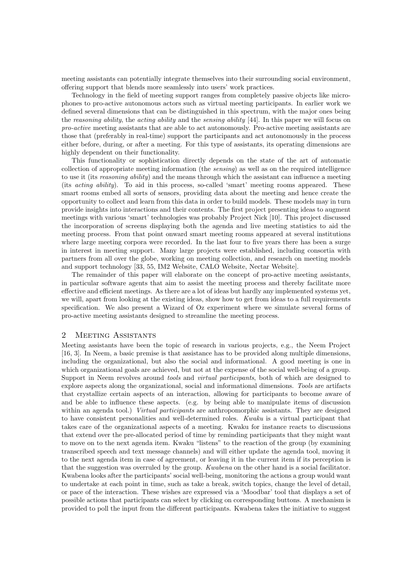meeting assistants can potentially integrate themselves into their surrounding social environment, offering support that blends more seamlessly into users' work practices.

Technology in the field of meeting support ranges from completely passive objects like microphones to pro-active autonomous actors such as virtual meeting participants. In earlier work we defined several dimensions that can be distinguished in this spectrum, with the major ones being the reasoning ability, the acting ability and the sensing ability [44]. In this paper we will focus on pro-active meeting assistants that are able to act autonomously. Pro-active meeting assistants are those that (preferably in real-time) support the participants and act autonomously in the process either before, during, or after a meeting. For this type of assistants, its operating dimensions are highly dependent on their functionality.

This functionality or sophistication directly depends on the state of the art of automatic collection of appropriate meeting information (the sensing) as well as on the required intelligence to use it (its reasoning ability) and the means through which the assistant can influence a meeting (its acting ability). To aid in this process, so-called 'smart' meeting rooms appeared. These smart rooms embed all sorts of sensors, providing data about the meeting and hence create the opportunity to collect and learn from this data in order to build models. These models may in turn provide insights into interactions and their contents. The first project presenting ideas to augment meetings with various 'smart' technologies was probably Project Nick [10]. This project discussed the incorporation of screens displaying both the agenda and live meeting statistics to aid the meeting process. From that point onward smart meeting rooms appeared at several institutions where large meeting corpora were recorded. In the last four to five years there has been a surge in interest in meeting support. Many large projects were established, including consortia with partners from all over the globe, working on meeting collection, and research on meeting models and support technology [33, 55, IM2 Website, CALO Website, Nectar Website].

The remainder of this paper will elaborate on the concept of pro-active meeting assistants, in particular software agents that aim to assist the meeting process and thereby facilitate more effective and efficient meetings. As there are a lot of ideas but hardly any implemented systems yet, we will, apart from looking at the existing ideas, show how to get from ideas to a full requirements specification. We also present a Wizard of Oz experiment where we simulate several forms of pro-active meeting assistants designed to streamline the meeting process.

### 2 Meeting Assistants

Meeting assistants have been the topic of research in various projects, e.g., the Neem Project [16, 3]. In Neem, a basic premise is that assistance has to be provided along multiple dimensions, including the organizational, but also the social and informational. A good meeting is one in which organizational goals are achieved, but not at the expense of the social well-being of a group. Support in Neem revolves around *tools* and *virtual participants*, both of which are designed to explore aspects along the organizational, social and informational dimensions. Tools are artifacts that crystallize certain aspects of an interaction, allowing for participants to become aware of and be able to influence these aspects. (e.g. by being able to manipulate items of discussion within an agenda tool.) Virtual participants are anthropomorphic assistants. They are designed to have consistent personalities and well-determined roles. Kwaku is a virtual participant that takes care of the organizational aspects of a meeting. Kwaku for instance reacts to discussions that extend over the pre-allocated period of time by reminding participants that they might want to move on to the next agenda item. Kwaku "listens" to the reaction of the group (by examining transcribed speech and text message channels) and will either update the agenda tool, moving it to the next agenda item in case of agreement, or leaving it in the current item if its perception is that the suggestion was overruled by the group. Kwabena on the other hand is a social facilitator. Kwabena looks after the participants' social well-being, monitoring the actions a group would want to undertake at each point in time, such as take a break, switch topics, change the level of detail, or pace of the interaction. These wishes are expressed via a 'Moodbar' tool that displays a set of possible actions that participants can select by clicking on corresponding buttons. A mechanism is provided to poll the input from the different participants. Kwabena takes the initiative to suggest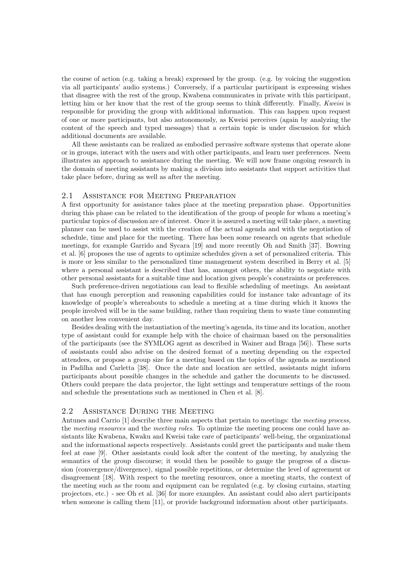the course of action (e.g. taking a break) expressed by the group. (e.g. by voicing the suggestion via all participants' audio systems.) Conversely, if a particular participant is expressing wishes that disagree with the rest of the group, Kwabena communicates in private with this participant, letting him or her know that the rest of the group seems to think differently. Finally, Kweisi is responsible for providing the group with additional information. This can happen upon request of one or more participants, but also autonomously, as Kweisi perceives (again by analyzing the content of the speech and typed messages) that a certain topic is under discussion for which additional documents are available.

All these assistants can be realized as embodied pervasive software systems that operate alone or in groups, interact with the users and with other participants, and learn user preferences. Neem illustrates an approach to assistance during the meeting. We will now frame ongoing research in the domain of meeting assistants by making a division into assistants that support activities that take place before, during as well as after the meeting.

### 2.1 Assistance for Meeting Preparation

A first opportunity for assistance takes place at the meeting preparation phase. Opportunities during this phase can be related to the identification of the group of people for whom a meeting's particular topics of discussion are of interest. Once it is assured a meeting will take place, a meeting planner can be used to assist with the creation of the actual agenda and with the negotiation of schedule, time and place for the meeting. There has been some research on agents that schedule meetings, for example Garrido and Sycara [19] and more recently Oh and Smith [37]. Bowring et al. [6] proposes the use of agents to optimize schedules given a set of personalized criteria. This is more or less similar to the personalized time management system described in Berry et al. [5] where a personal assistant is described that has, amongst others, the ability to negotiate with other personal assistants for a suitable time and location given people's constraints or preferences.

Such preference-driven negotiations can lead to flexible scheduling of meetings. An assistant that has enough perception and reasoning capabilities could for instance take advantage of its knowledge of people's whereabouts to schedule a meeting at a time during which it knows the people involved will be in the same building, rather than requiring them to waste time commuting on another less convenient day.

Besides dealing with the instantiation of the meeting's agenda, its time and its location, another type of assistant could for example help with the choice of chairman based on the personalities of the participants (see the SYMLOG agent as described in Wainer and Braga [56]). These sorts of assistants could also advise on the desired format of a meeting depending on the expected attendees, or propose a group size for a meeting based on the topics of the agenda as mentioned in Padilha and Carletta [38]. Once the date and location are settled, assistants might inform participants about possible changes in the schedule and gather the documents to be discussed. Others could prepare the data projector, the light settings and temperature settings of the room and schedule the presentations such as mentioned in Chen et al. [8].

# 2.2 Assistance During the Meeting

Antunes and Carrio [1] describe three main aspects that pertain to meetings: the meeting process, the meeting resources and the meeting roles. To optimize the meeting process one could have assistants like Kwabena, Kwaku and Kweisi take care of participants' well-being, the organizational and the informational aspects respectively. Assistants could greet the participants and make them feel at ease [9]. Other assistants could look after the content of the meeting, by analyzing the semantics of the group discourse; it would then be possible to gauge the progress of a discussion (convergence/divergence), signal possible repetitions, or determine the level of agreement or disagreement [18]. With respect to the meeting resources, once a meeting starts, the context of the meeting such as the room and equipment can be regulated (e.g. by closing curtains, starting projectors, etc.) - see Oh et al. [36] for more examples. An assistant could also alert participants when someone is calling them [11], or provide background information about other participants.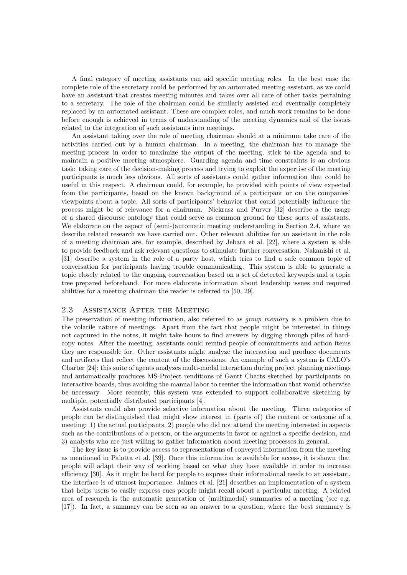A final category of meeting assistants can aid specific meeting roles. In the best case the complete role of the secretary could be performed by an automated meeting assistant, as we could have an assistant that creates meeting minutes and takes over all care of other tasks pertaining to a secretary. The role of the chairman could be similarly assisted and eventually completely replaced by an automated assistant. These are complex roles, and much work remains to be done before enough is achieved in terms of understanding of the meeting dynamics and of the issues related to the integration of such assistants into meetings.

An assistant taking over the role of meeting chairman should at a minimum take care of the activities carried out by a human chairman. In a meeting, the chairman has to manage the meeting process in order to maximize the output of the meeting, stick to the agenda and to maintain a positive meeting atmosphere. Guarding agenda and time constraints is an obvious task: taking care of the decision-making process and trying to exploit the expertise of the meeting participants is much less obvious. All sorts of assistants could gather information that could be useful in this respect. A chairman could, for example, be provided with points of view expected from the participants, based on the known background of a participant or on the companies' viewpoints about a topic. All sorts of participants' behavior that could potentially influence the process might be of relevance for a chairman. Niekrasz and Purver [32] describe a the usage of a shared discourse ontology that could serve as common ground for these sorts of assistants. We elaborate on the aspect of (semi-)automatic meeting understanding in Section 2.4, where we describe related research we have carried out. Other relevant abilities for an assistant in the role of a meeting chairman are, for example, described by Jebara et al. [22], where a system is able to provide feedback and ask relevant questions to stimulate further conversation. Nakanishi et al. [31] describe a system in the role of a party host, which tries to find a safe common topic of conversation for participants having trouble communicating. This system is able to generate a topic closely related to the ongoing conversation based on a set of detected keywords and a topic tree prepared beforehand. For more elaborate information about leadership issues and required abilities for a meeting chairman the reader is referred to [50, 29].

### 2.3 Assistance After the Meeting

The preservation of meeting information, also referred to as *group memory* is a problem due to the volatile nature of meetings. Apart from the fact that people might be interested in things not captured in the notes, it might take hours to find answers by digging through piles of hardcopy notes. After the meeting, assistants could remind people of commitments and action items they are responsible for. Other assistants might analyze the interaction and produce documents and artifacts that reflect the content of the discussions. An example of such a system is CALO's Charter [24]; this suite of agents analyzes multi-modal interaction during project planning meetings and automatically produces MS-Project renditions of Gantt Charts sketched by participants on interactive boards, thus avoiding the manual labor to reenter the information that would otherwise be necessary. More recently, this system was extended to support collaborative sketching by multiple, potentially distributed participants [4].

Assistants could also provide selective information about the meeting. Three categories of people can be distinguished that might show interest in (parts of) the content or outcome of a meeting: 1) the actual participants, 2) people who did not attend the meeting interested in aspects such as the contributions of a person, or the arguments in favor or against a specific decision, and 3) analysts who are just willing to gather information about meeting processes in general.

The key issue is to provide access to representations of conveyed information from the meeting as mentioned in Palotta et al. [39]. Once this information is available for access, it is shown that people will adapt their way of working based on what they have available in order to increase efficiency [30]. As it might be hard for people to express their informational needs to an assistant, the interface is of utmost importance. Jaimes et al. [21] describes an implementation of a system that helps users to easily express cues people might recall about a particular meeting. A related area of research is the automatic generation of (multimodal) summaries of a meeting (see e.g. [17]). In fact, a summary can be seen as an answer to a question, where the best summary is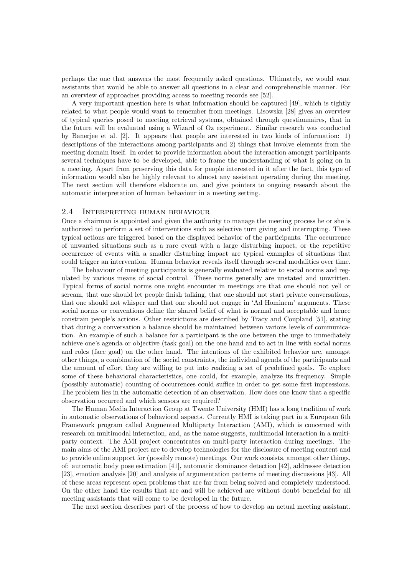perhaps the one that answers the most frequently asked questions. Ultimately, we would want assistants that would be able to answer all questions in a clear and comprehensible manner. For an overview of approaches providing access to meeting records see [52].

A very important question here is what information should be captured [49], which is tightly related to what people would want to remember from meetings. Lisowska [28] gives an overview of typical queries posed to meeting retrieval systems, obtained through questionnaires, that in the future will be evaluated using a Wizard of Oz experiment. Similar research was conducted by Banerjee et al. [2]. It appears that people are interested in two kinds of information: 1) descriptions of the interactions among participants and 2) things that involve elements from the meeting domain itself. In order to provide information about the interaction amongst participants several techniques have to be developed, able to frame the understanding of what is going on in a meeting. Apart from preserving this data for people interested in it after the fact, this type of information would also be highly relevant to almost any assistant operating during the meeting. The next section will therefore elaborate on, and give pointers to ongoing research about the automatic interpretation of human behaviour in a meeting setting.

### 2.4 Interpreting human behaviour

Once a chairman is appointed and given the authority to manage the meeting process he or she is authorized to perform a set of interventions such as selective turn giving and interrupting. These typical actions are triggered based on the displayed behavior of the participants. The occurrence of unwanted situations such as a rare event with a large disturbing impact, or the repetitive occurrence of events with a smaller disturbing impact are typical examples of situations that could trigger an intervention. Human behavior reveals itself through several modalities over time.

The behaviour of meeting participants is generally evaluated relative to social norms and regulated by various means of social control. These norms generally are unstated and unwritten. Typical forms of social norms one might encounter in meetings are that one should not yell or scream, that one should let people finish talking, that one should not start private conversations, that one should not whisper and that one should not engage in 'Ad Hominem' arguments. These social norms or conventions define the shared belief of what is normal and acceptable and hence constrain people's actions. Other restrictions are described by Tracy and Coupland [51], stating that during a conversation a balance should be maintained between various levels of communication. An example of such a balance for a participant is the one between the urge to immediately achieve one's agenda or objective (task goal) on the one hand and to act in line with social norms and roles (face goal) on the other hand. The intentions of the exhibited behavior are, amongst other things, a combination of the social constraints, the individual agenda of the participants and the amount of effort they are willing to put into realizing a set of predefined goals. To explore some of these behavioral characteristics, one could, for example, analyze its frequency. Simple (possibly automatic) counting of occurrences could suffice in order to get some first impressions. The problem lies in the automatic detection of an observation. How does one know that a specific observation occurred and which sensors are required?

The Human Media Interaction Group at Twente University (HMI) has a long tradition of work in automatic observations of behavioral aspects. Currently HMI is taking part in a European 6th Framework program called Augmented Multiparty Interaction (AMI), which is concerned with research on multimodal interaction, and, as the name suggests, multimodal interaction in a multiparty context. The AMI project concentrates on multi-party interaction during meetings. The main aims of the AMI project are to develop technologies for the disclosure of meeting content and to provide online support for (possibly remote) meetings. Our work consists, amongst other things, of: automatic body pose estimation [41], automatic dominance detection [42], addressee detection [23], emotion analysis [20] and analysis of argumentation patterns of meeting discussions [43]. All of these areas represent open problems that are far from being solved and completely understood. On the other hand the results that are and will be achieved are without doubt beneficial for all meeting assistants that will come to be developed in the future.

The next section describes part of the process of how to develop an actual meeting assistant.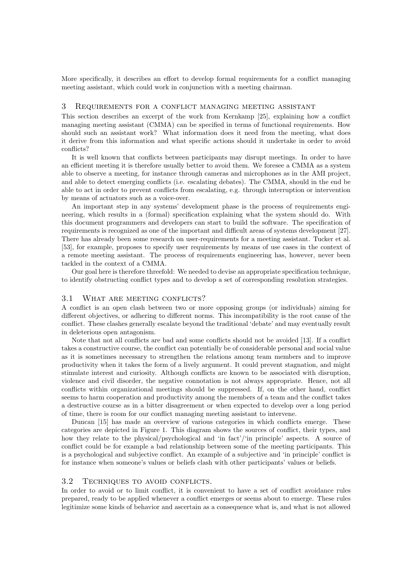More specifically, it describes an effort to develop formal requirements for a conflict managing meeting assistant, which could work in conjunction with a meeting chairman.

### 3 Requirements for a conflict managing meeting assistant

This section describes an excerpt of the work from Kernkamp [25], explaining how a conflict managing meeting assistant (CMMA) can be specified in terms of functional requirements. How should such an assistant work? What information does it need from the meeting, what does it derive from this information and what specific actions should it undertake in order to avoid conflicts?

It is well known that conflicts between participants may disrupt meetings. In order to have an efficient meeting it is therefore usually better to avoid them. We foresee a CMMA as a system able to observe a meeting, for instance through cameras and microphones as in the AMI project, and able to detect emerging conflicts (i.e. escalating debates). The CMMA, should in the end be able to act in order to prevent conflicts from escalating, e.g. through interruption or intervention by means of actuators such as a voice-over.

An important step in any systems' development phase is the process of requirements engineering, which results in a (formal) specification explaining what the system should do. With this document programmers and developers can start to build the software. The specification of requirements is recognized as one of the important and difficult areas of systems development [27]. There has already been some research on user-requirements for a meeting assistant. Tucker et al. [53], for example, proposes to specify user requirements by means of use cases in the context of a remote meeting assistant. The process of requirements engineering has, however, never been tackled in the context of a CMMA.

Our goal here is therefore threefold: We needed to devise an appropriate specification technique, to identify obstructing conflict types and to develop a set of corresponding resolution strategies.

## 3.1 WHAT ARE MEETING CONFLICTS?

A conflict is an open clash between two or more opposing groups (or individuals) aiming for different objectives, or adhering to different norms. This incompatibility is the root cause of the conflict. These clashes generally escalate beyond the traditional 'debate' and may eventually result in deleterious open antagonism.

Note that not all conflicts are bad and some conflicts should not be avoided [13]. If a conflict takes a constructive course, the conflict can potentially be of considerable personal and social value as it is sometimes necessary to strengthen the relations among team members and to improve productivity when it takes the form of a lively argument. It could prevent stagnation, and might stimulate interest and curiosity. Although conflicts are known to be associated with disruption, violence and civil disorder, the negative connotation is not always appropriate. Hence, not all conflicts within organizational meetings should be suppressed. If, on the other hand, conflict seems to harm cooperation and productivity among the members of a team and the conflict takes a destructive course as in a bitter disagreement or when expected to develop over a long period of time, there is room for our conflict managing meeting assistant to intervene.

Duncan [15] has made an overview of various categories in which conflicts emerge. These categories are depicted in Figure 1. This diagram shows the sources of conflict, their types, and how they relate to the physical/psychological and 'in fact'/'in principle' aspects. A source of conflict could be for example a bad relationship between some of the meeting participants. This is a psychological and subjective conflict. An example of a subjective and 'in principle' conflict is for instance when someone's values or beliefs clash with other participants' values or beliefs.

### 3.2 TECHNIQUES TO AVOID CONFLICTS.

In order to avoid or to limit conflict, it is convenient to have a set of conflict avoidance rules prepared, ready to be applied whenever a conflict emerges or seems about to emerge. These rules legitimize some kinds of behavior and ascertain as a consequence what is, and what is not allowed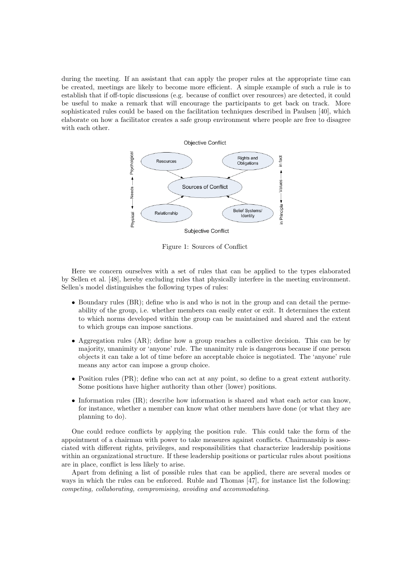during the meeting. If an assistant that can apply the proper rules at the appropriate time can be created, meetings are likely to become more efficient. A simple example of such a rule is to establish that if off-topic discussions (e.g. because of conflict over resources) are detected, it could be useful to make a remark that will encourage the participants to get back on track. More sophisticated rules could be based on the facilitation techniques described in Paulsen [40], which elaborate on how a facilitator creates a safe group environment where people are free to disagree with each other.



Figure 1: Sources of Conflict

Here we concern ourselves with a set of rules that can be applied to the types elaborated by Sellen et al. [48], hereby excluding rules that physically interfere in the meeting environment. Sellen's model distinguishes the following types of rules:

- Boundary rules (BR); define who is and who is not in the group and can detail the permeability of the group, i.e. whether members can easily enter or exit. It determines the extent to which norms developed within the group can be maintained and shared and the extent to which groups can impose sanctions.
- Aggregation rules (AR); define how a group reaches a collective decision. This can be by majority, unanimity or 'anyone' rule. The unanimity rule is dangerous because if one person objects it can take a lot of time before an acceptable choice is negotiated. The 'anyone' rule means any actor can impose a group choice.
- Position rules (PR); define who can act at any point, so define to a great extent authority. Some positions have higher authority than other (lower) positions.
- Information rules (IR); describe how information is shared and what each actor can know, for instance, whether a member can know what other members have done (or what they are planning to do).

One could reduce conflicts by applying the position rule. This could take the form of the appointment of a chairman with power to take measures against conflicts. Chairmanship is associated with different rights, privileges, and responsibilities that characterize leadership positions within an organizational structure. If these leadership positions or particular rules about positions are in place, conflict is less likely to arise.

Apart from defining a list of possible rules that can be applied, there are several modes or ways in which the rules can be enforced. Ruble and Thomas [47], for instance list the following: competing, collaborating, compromising, avoiding and accommodating.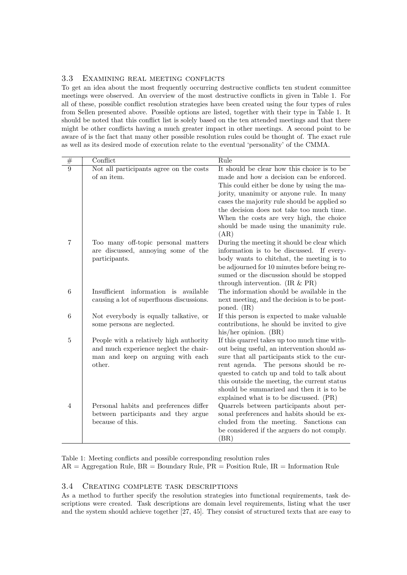# 3.3 Examining real meeting conflicts

To get an idea about the most frequently occurring destructive conflicts ten student committee meetings were observed. An overview of the most destructive conflicts in given in Table 1. For all of these, possible conflict resolution strategies have been created using the four types of rules from Sellen presented above. Possible options are listed, together with their type in Table 1. It should be noted that this conflict list is solely based on the ten attended meetings and that there might be other conflicts having a much greater impact in other meetings. A second point to be aware of is the fact that many other possible resolution rules could be thought of. The exact rule as well as its desired mode of execution relate to the eventual 'personality' of the CMMA.

| #              | Conflict                                  | Rule                                          |
|----------------|-------------------------------------------|-----------------------------------------------|
| $\overline{9}$ | Not all participants agree on the costs   | It should be clear how this choice is to be   |
|                | of an item.                               | made and how a decision can be enforced.      |
|                |                                           | This could either be done by using the ma-    |
|                |                                           | jority, unanimity or anyone rule. In many     |
|                |                                           | cases the majority rule should be applied so  |
|                |                                           | the decision does not take too much time.     |
|                |                                           | When the costs are very high, the choice      |
|                |                                           | should be made using the unanimity rule.      |
|                |                                           | (AR)                                          |
| 7              | Too many off-topic personal matters       | During the meeting it should be clear which   |
|                | are discussed, annoying some of the       | information is to be discussed. If every-     |
|                | participants.                             | body wants to chitchat, the meeting is to     |
|                |                                           | be adjourned for 10 minutes before being re-  |
|                |                                           | sumed or the discussion should be stopped     |
|                |                                           | through intervention. $(IR & PR)$             |
| $\,6$          | Insufficient information is available     | The information should be available in the    |
|                | causing a lot of superfluous discussions. | next meeting, and the decision is to be post- |
|                |                                           | poned. (IR)                                   |
| 6              | Not everybody is equally talkative, or    | If this person is expected to make valuable   |
|                | some persons are neglected.               | contributions, he should be invited to give   |
|                |                                           | his/her opinion. $(BR)$                       |
| $\overline{5}$ | People with a relatively high authority   | If this quarrel takes up too much time with-  |
|                | and much experience neglect the chair-    | out being useful, an intervention should as-  |
|                | man and keep on arguing with each         | sure that all participants stick to the cur-  |
|                | other.                                    | rent agenda. The persons should be re-        |
|                |                                           | quested to catch up and told to talk about    |
|                |                                           | this outside the meeting, the current status  |
|                |                                           | should be summarized and then it is to be     |
|                |                                           | explained what is to be discussed. (PR)       |
| $\overline{4}$ | Personal habits and preferences differ    | Quarrels between participants about per-      |
|                | between participants and they argue       | sonal preferences and habits should be ex-    |
|                | because of this.                          | cluded from the meeting. Sanctions can        |
|                |                                           | be considered if the arguers do not comply.   |
|                |                                           | (BR)                                          |

Table 1: Meeting conflicts and possible corresponding resolution rules  $AR = Aggregation Rule, BR = Boundary Rule, PR = Position Rule, IR = Information Rule$ 

# 3.4 Creating complete task descriptions

As a method to further specify the resolution strategies into functional requirements, task descriptions were created. Task descriptions are domain level requirements, listing what the user and the system should achieve together [27, 45]. They consist of structured texts that are easy to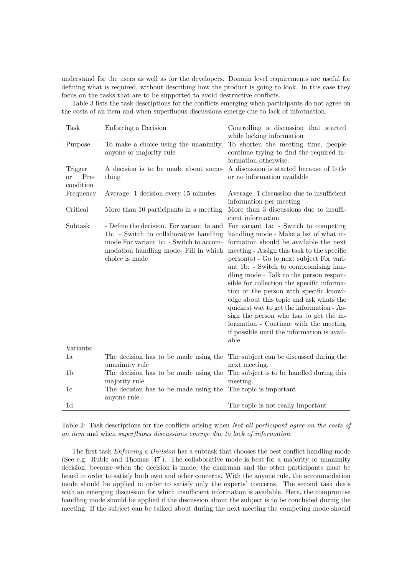understand for the users as well as for the developers. Domain level requirements are useful for defining what is required, without describing how the product is going to look. In this case they focus on the tasks that are to be supported to avoid destructive conflicts.

Table 3 lists the task descriptions for the conflicts emerging when participants do not agree on the costs of an item and when superfluous discussions emerge due to lack of information.

| Task                               | Enforcing a Decision                                                                                                                                                                     | Controlling a discussion that started<br>while lacking information                                                                                                                                                                                                                                                                                                                                                                                                                                                                                                                                                                    |
|------------------------------------|------------------------------------------------------------------------------------------------------------------------------------------------------------------------------------------|---------------------------------------------------------------------------------------------------------------------------------------------------------------------------------------------------------------------------------------------------------------------------------------------------------------------------------------------------------------------------------------------------------------------------------------------------------------------------------------------------------------------------------------------------------------------------------------------------------------------------------------|
| Purpose                            | To make a choice using the unanimity,<br>anyone or majority rule                                                                                                                         | To shorten the meeting time, people<br>continue trying to find the required in-<br>formation otherwise.                                                                                                                                                                                                                                                                                                                                                                                                                                                                                                                               |
| Trigger<br>Pre-<br>or<br>condition | A decision is to be made about some-<br>thing                                                                                                                                            | A discussion is started because of little<br>or no information available                                                                                                                                                                                                                                                                                                                                                                                                                                                                                                                                                              |
| Frequency                          | Average: 1 decision every 15 minutes                                                                                                                                                     | Average: 1 discussion due to insufficient<br>information per meeting                                                                                                                                                                                                                                                                                                                                                                                                                                                                                                                                                                  |
| Critical                           | More than 10 participants in a meeting                                                                                                                                                   | More than 3 discussions due to insuffi-<br>cient information                                                                                                                                                                                                                                                                                                                                                                                                                                                                                                                                                                          |
| Subtask<br>Variants:               | - Define the decision. For variant 1a and<br>1b: - Switch to collaborative handling<br>mode For variant 1c: - Switch to accom-<br>modation handling mode-Fill in which<br>choice is made | For variant 1a: - Switch to competing<br>handling mode - Make a list of what in-<br>formation should be available the next<br>meeting - Assign this task to the specific<br>$person(s)$ - Go to next subject For vari-<br>ant 1b: - Switch to compromising han-<br>dling mode - Talk to the person respon-<br>sible for collection the specific informa-<br>tion or the person with specific knowl-<br>edge about this topic and ask whats the<br>quickest way to get the information - As-<br>sign the person who has to get the in-<br>formation - Continue with the meeting<br>if possible until the information is avail-<br>able |
| 1a                                 | The decision has to be made using the                                                                                                                                                    | The subject can be discussed during the                                                                                                                                                                                                                                                                                                                                                                                                                                                                                                                                                                                               |
|                                    | unanimity rule                                                                                                                                                                           | next meeting.                                                                                                                                                                                                                                                                                                                                                                                                                                                                                                                                                                                                                         |
| 1 <sub>b</sub>                     | The decision has to be made using the<br>majority rule                                                                                                                                   | The subject is to be handled during this<br>meeting.                                                                                                                                                                                                                                                                                                                                                                                                                                                                                                                                                                                  |
| 1c                                 | The decision has to be made using the<br>anyone rule                                                                                                                                     | The topic is important                                                                                                                                                                                                                                                                                                                                                                                                                                                                                                                                                                                                                |
| 1d                                 |                                                                                                                                                                                          | The topic is not really important                                                                                                                                                                                                                                                                                                                                                                                                                                                                                                                                                                                                     |

Table 2: Task descriptions for the conflicts arising when Not all participant agree on the costs of an item and when superfluous discussions emerge due to lack of information.

The first task Enforcing a Decision has a subtask that chooses the best conflict handling mode (See e.g. Ruble and Thomas [47]). The collaborative mode is best for a majority or unanimity decision, because when the decision is made, the chairman and the other participants must be heard in order to satisfy both own and other concerns. With the anyone rule, the accommodation mode should be applied in order to satisfy only the experts' concerns. The second task deals with an emerging discussion for which insufficient information is available. Here, the compromise handling mode should be applied if the discussion about the subject is to be concluded during the meeting. If the subject can be talked about during the next meeting the competing mode should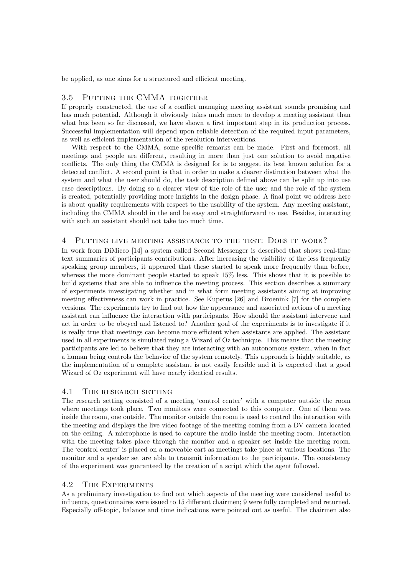be applied, as one aims for a structured and efficient meeting.

# 3.5 PUTTING THE CMMA TOGETHER

If properly constructed, the use of a conflict managing meeting assistant sounds promising and has much potential. Although it obviously takes much more to develop a meeting assistant than what has been so far discussed, we have shown a first important step in its production process. Successful implementation will depend upon reliable detection of the required input parameters, as well as efficient implementation of the resolution interventions.

With respect to the CMMA, some specific remarks can be made. First and foremost, all meetings and people are different, resulting in more than just one solution to avoid negative conflicts. The only thing the CMMA is designed for is to suggest its best known solution for a detected conflict. A second point is that in order to make a clearer distinction between what the system and what the user should do, the task description defined above can be split up into use case descriptions. By doing so a clearer view of the role of the user and the role of the system is created, potentially providing more insights in the design phase. A final point we address here is about quality requirements with respect to the usability of the system. Any meeting assistant, including the CMMA should in the end be easy and straightforward to use. Besides, interacting with such an assistant should not take too much time.

### 4 Putting live meeting assistance to the test: Does it work?

In work from DiMicco [14] a system called Second Messenger is described that shows real-time text summaries of participants contributions. After increasing the visibility of the less frequently speaking group members, it appeared that these started to speak more frequently than before, whereas the more dominant people started to speak 15% less. This shows that it is possible to build systems that are able to influence the meeting process. This section describes a summary of experiments investigating whether and in what form meeting assistants aiming at improving meeting effectiveness can work in practice. See Kuperus [26] and Broenink [7] for the complete versions. The experiments try to find out how the appearance and associated actions of a meeting assistant can influence the interaction with participants. How should the assistant intervene and act in order to be obeyed and listened to? Another goal of the experiments is to investigate if it is really true that meetings can become more efficient when assistants are applied. The assistant used in all experiments is simulated using a Wizard of Oz technique. This means that the meeting participants are led to believe that they are interacting with an autonomous system, when in fact a human being controls the behavior of the system remotely. This approach is highly suitable, as the implementation of a complete assistant is not easily feasible and it is expected that a good Wizard of Oz experiment will have nearly identical results.

# 4.1 THE RESEARCH SETTING

The research setting consisted of a meeting 'control center' with a computer outside the room where meetings took place. Two monitors were connected to this computer. One of them was inside the room, one outside. The monitor outside the room is used to control the interaction with the meeting and displays the live video footage of the meeting coming from a DV camera located on the ceiling. A microphone is used to capture the audio inside the meeting room. Interaction with the meeting takes place through the monitor and a speaker set inside the meeting room. The 'control center' is placed on a moveable cart as meetings take place at various locations. The monitor and a speaker set are able to transmit information to the participants. The consistency of the experiment was guaranteed by the creation of a script which the agent followed.

### 4.2 The Experiments

As a preliminary investigation to find out which aspects of the meeting were considered useful to influence, questionnaires were issued to 15 different chairmen; 9 were fully completed and returned. Especially off-topic, balance and time indications were pointed out as useful. The chairmen also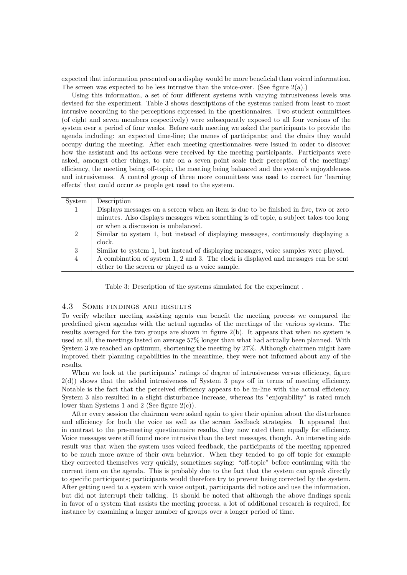expected that information presented on a display would be more beneficial than voiced information. The screen was expected to be less intrusive than the voice-over. (See figure  $2(a)$ .)

Using this information, a set of four different systems with varying intrusiveness levels was devised for the experiment. Table 3 shows descriptions of the systems ranked from least to most intrusive according to the perceptions expressed in the questionnaires. Two student committees (of eight and seven members respectively) were subsequently exposed to all four versions of the system over a period of four weeks. Before each meeting we asked the participants to provide the agenda including: an expected time-line; the names of participants; and the chairs they would occupy during the meeting. After each meeting questionnaires were issued in order to discover how the assistant and its actions were received by the meeting participants. Participants were asked, amongst other things, to rate on a seven point scale their perception of the meetings' efficiency, the meeting being off-topic, the meeting being balanced and the system's enjoyableness and intrusiveness. A control group of three more committees was used to correct for 'learning effects' that could occur as people get used to the system.

| System         | Description                                                                           |  |
|----------------|---------------------------------------------------------------------------------------|--|
| $\mathbf{1}$   | Displays messages on a screen when an item is due to be finished in five, two or zero |  |
|                | minutes. Also displays messages when something is off topic, a subject takes too long |  |
|                | or when a discussion is unbalanced.                                                   |  |
| $\overline{2}$ | Similar to system 1, but instead of displaying messages, continuously displaying a    |  |
|                | clock.                                                                                |  |
| 3              | Similar to system 1, but instead of displaying messages, voice samples were played.   |  |
| 4              | A combination of system 1, 2 and 3. The clock is displayed and messages can be sent   |  |
|                | either to the screen or played as a voice sample.                                     |  |

Table 3: Description of the systems simulated for the experiment .

### 4.3 Some findings and results

To verify whether meeting assisting agents can benefit the meeting process we compared the predefined given agendas with the actual agendas of the meetings of the various systems. The results averaged for the two groups are shown in figure 2(b). It appears that when no system is used at all, the meetings lasted on average 57% longer than what had actually been planned. With System 3 we reached an optimum, shortening the meeting by 27%. Although chairmen might have improved their planning capabilities in the meantime, they were not informed about any of the results.

When we look at the participants' ratings of degree of intrusiveness versus efficiency, figure  $2(d)$ ) shows that the added intrusiveness of System 3 pays off in terms of meeting efficiency. Notable is the fact that the perceived efficiency appears to be in-line with the actual efficiency. System 3 also resulted in a slight disturbance increase, whereas its "enjoyability" is rated much lower than Systems 1 and 2 (See figure  $2(c)$ ).

After every session the chairmen were asked again to give their opinion about the disturbance and efficiency for both the voice as well as the screen feedback strategies. It appeared that in contrast to the pre-meeting questionnaire results, they now rated them equally for efficiency. Voice messages were still found more intrusive than the text messages, though. An interesting side result was that when the system uses voiced feedback, the participants of the meeting appeared to be much more aware of their own behavior. When they tended to go off topic for example they corrected themselves very quickly, sometimes saying: "off-topic" before continuing with the current item on the agenda. This is probably due to the fact that the system can speak directly to specific participants; participants would therefore try to prevent being corrected by the system. After getting used to a system with voice output, participants did notice and use the information, but did not interrupt their talking. It should be noted that although the above findings speak in favor of a system that assists the meeting process, a lot of additional research is required, for instance by examining a larger number of groups over a longer period of time.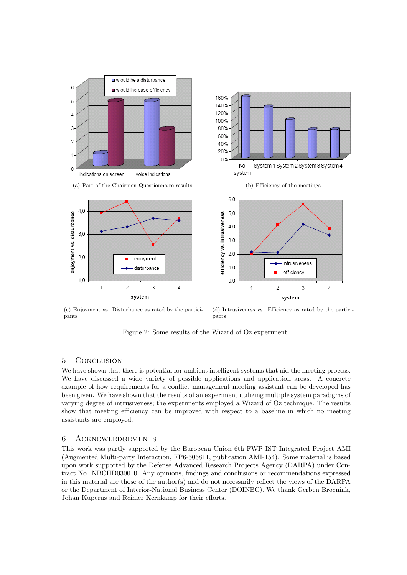

(a) Part of the Chairmen Questionnaire results. (b) Efficiency of the meetings





(c) Enjoyment vs. Disturbance as rated by the participants

(d) Intrusiveness vs. Efficiency as rated by the participants

system

 $\overline{2}$ 

 $\mathfrak{Z}$ 

 $\overline{4}$ 

Figure 2: Some results of the Wizard of Oz experiment

 $0,0$ 

 $\overline{1}$ 

# 5 Conclusion

We have shown that there is potential for ambient intelligent systems that aid the meeting process. We have discussed a wide variety of possible applications and application areas. A concrete example of how requirements for a conflict management meeting assistant can be developed has been given. We have shown that the results of an experiment utilizing multiple system paradigms of varying degree of intrusiveness; the experiments employed a Wizard of Oz technique. The results show that meeting efficiency can be improved with respect to a baseline in which no meeting assistants are employed.

### 6 Acknowledgements

This work was partly supported by the European Union 6th FWP IST Integrated Project AMI (Augmented Multi-party Interaction, FP6-506811, publication AMI-154). Some material is based upon work supported by the Defense Advanced Research Projects Agency (DARPA) under Contract No. NBCHD030010. Any opinions, findings and conclusions or recommendations expressed in this material are those of the author(s) and do not necessarily reflect the views of the DARPA or the Department of Interior-National Business Center (DOINBC). We thank Gerben Broenink, Johan Kuperus and Reinier Kernkamp for their efforts.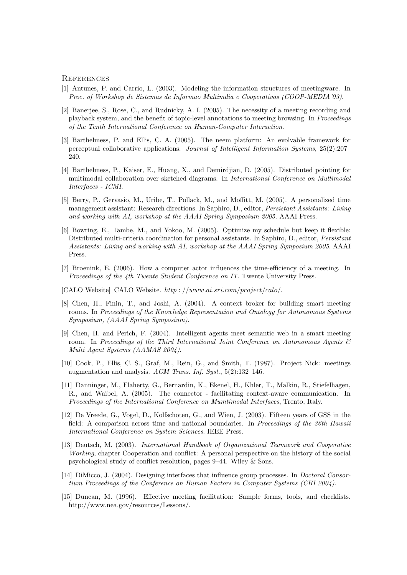### **REFERENCES**

- [1] Antunes, P. and Carrio, L. (2003). Modeling the information structures of meetingware. In Proc. of Workshop de Sistemas de Informao Multimdia e Cooperativos (COOP-MEDIA'03).
- [2] Banerjee, S., Rose, C., and Rudnicky, A. I. (2005). The necessity of a meeting recording and playback system, and the benefit of topic-level annotations to meeting browsing. In Proceedings of the Tenth International Conference on Human-Computer Interaction.
- [3] Barthelmess, P. and Ellis, C. A. (2005). The neem platform: An evolvable framework for perceptual collaborative applications. Journal of Intelligent Information Systems, 25(2):207– 240.
- [4] Barthelmess, P., Kaiser, E., Huang, X., and Demirdjian, D. (2005). Distributed pointing for multimodal collaboration over sketched diagrams. In International Conference on Multimodal Interfaces - ICMI.
- [5] Berry, P., Gervasio, M., Uribe, T., Pollack, M., and Moffitt, M. (2005). A personalized time management assistant: Research directions. In Saphiro, D., editor, Persistant Assistants: Living and working with AI, workshop at the AAAI Spring Symposium 2005. AAAI Press.
- [6] Bowring, E., Tambe, M., and Yokoo, M. (2005). Optimize my schedule but keep it flexible: Distributed multi-criteria coordination for personal assistants. In Saphiro, D., editor, Persistant Assistants: Living and working with AI, workshop at the AAAI Spring Symposium 2005. AAAI Press.
- [7] Broenink, E. (2006). How a computer actor influences the time-efficiency of a meeting. In Proceedings of the 4th Twente Student Conference on IT. Twente University Press.
- [CALO Website] CALO Website. http : //www.ai.sri.com/project/calo/.
- [8] Chen, H., Finin, T., and Joshi, A. (2004). A context broker for building smart meeting rooms. In Proceedings of the Knowledge Representation and Ontology for Autonomous Systems Symposium, (AAAI Spring Symposium).
- [9] Chen, H. and Perich, F. (2004). Intelligent agents meet semantic web in a smart meeting room. In Proceedings of the Third International Joint Conference on Autonomous Agents  $\mathcal{C}$ Multi Agent Systems (AAMAS 2004).
- [10] Cook, P., Ellis, C. S., Graf, M., Rein, G., and Smith, T. (1987). Project Nick: meetings augmentation and analysis. ACM Trans. Inf. Syst.,  $5(2):132-146$ .
- [11] Danninger, M., Flaherty, G., Bernardin, K., Ekenel, H., Khler, T., Malkin, R., Stiefelhagen, R., and Waibel, A. (2005). The connector - facilitating context-aware communication. In Proceedings of the International Conference on Mumtimodal Interfaces, Trento, Italy.
- [12] De Vreede, G., Vogel, D., Kolfschoten, G., and Wien, J. (2003). Fifteen years of GSS in the field: A comparison across time and national boundaries. In *Proceedings of the 36th Hawaii* International Conference on System Sciences. IEEE Press.
- [13] Deutsch, M. (2003). International Handbook of Organizational Teamwork and Cooperative Working, chapter Cooperation and conflict: A personal perspective on the history of the social psychological study of conflict resolution, pages 9–44. Wiley & Sons.
- [14] DiMicco, J. (2004). Designing interfaces that influence group processes. In Doctoral Consortium Proceedings of the Conference on Human Factors in Computer Systems (CHI 2004).
- [15] Duncan, M. (1996). Effective meeting facilitation: Sample forms, tools, and checklists. http://www.nea.gov/resources/Lessons/.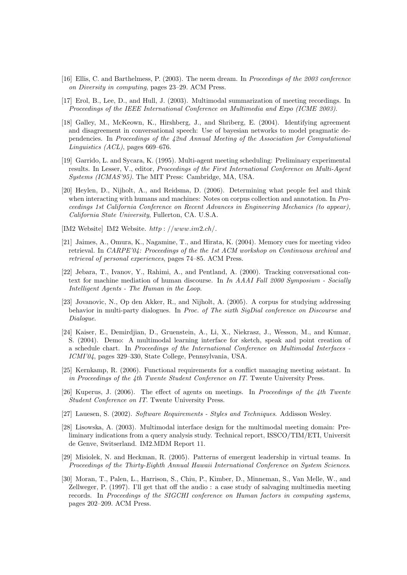- [16] Ellis, C. and Barthelmess, P. (2003). The neem dream. In Proceedings of the 2003 conference on Diversity in computing, pages 23–29. ACM Press.
- [17] Erol, B., Lee, D., and Hull, J. (2003). Multimodal summarization of meeting recordings. In Proceedings of the IEEE International Conference on Multimedia and Expo (ICME 2003).
- [18] Galley, M., McKeown, K., Hirshberg, J., and Shriberg, E. (2004). Identifying agreement and disagreement in conversational speech: Use of bayesian networks to model pragmatic dependencies. In Proceedings of the 42nd Annual Meeting of the Association for Computational Linguistics (ACL), pages 669–676.
- [19] Garrido, L. and Sycara, K. (1995). Multi-agent meeting scheduling: Preliminary experimental results. In Lesser, V., editor, Proceedings of the First International Conference on Multi-Agent Systems (ICMAS'95). The MIT Press: Cambridge, MA, USA.
- [20] Heylen, D., Nijholt, A., and Reidsma, D. (2006). Determining what people feel and think when interacting with humans and machines: Notes on corpus collection and annotation. In Proceedings 1st California Conference on Recent Advances in Engineering Mechanics (to appear), California State University, Fullerton, CA. U.S.A.
- [IM2 Website] IM2 Website. http : //www.im2.ch/.
- [21] Jaimes, A., Omura, K., Nagamine, T., and Hirata, K. (2004). Memory cues for meeting video retrieval. In CARPE'04: Proceedings of the the 1st ACM workshop on Continuous archival and retrieval of personal experiences, pages 74–85. ACM Press.
- [22] Jebara, T., Ivanov, Y., Rahimi, A., and Pentland, A. (2000). Tracking conversational context for machine mediation of human discourse. In In AAAI Fall 2000 Symposium - Socially Intelligent Agents - The Human in the Loop.
- [23] Jovanovic, N., Op den Akker, R., and Nijholt, A. (2005). A corpus for studying addressing behavior in multi-party dialogues. In Proc. of The sixth SigDial conference on Discourse and Dialogue.
- [24] Kaiser, E., Demirdjian, D., Gruenstein, A., Li, X., Niekrasz, J., Wesson, M., and Kumar, S. (2004). Demo: A multimodal learning interface for sketch, speak and point creation of a schedule chart. In Proceedings of the International Conference on Multimodal Interfaces - ICMI'04, pages 329–330, State College, Pennsylvania, USA.
- [25] Kernkamp, R. (2006). Functional requirements for a conflict managing meeting asistant. In in Proceedings of the 4th Twente Student Conference on IT. Twente University Press.
- [26] Kuperus, J. (2006). The effect of agents on meetings. In Proceedings of the 4th Twente Student Conference on IT. Twente University Press.
- [27] Lauesen, S. (2002). Software Requirements Styles and Techniques. Addisson Wesley.
- [28] Lisowska, A. (2003). Multimodal interface design for the multimodal meeting domain: Preliminary indications from a query analysis study. Technical report, ISSCO/TIM/ETI, Universit de Genve, Switserland. IM2.MDM Report 11.
- [29] Misiolek, N. and Heckman, R. (2005). Patterns of emergent leadership in virtual teams. In Proceedings of the Thirty-Eighth Annual Hawaii International Conference on System Sciences.
- [30] Moran, T., Palen, L., Harrison, S., Chiu, P., Kimber, D., Minneman, S., Van Melle, W., and Zellweger, P. (1997). I'll get that off the audio : a case study of salvaging multimedia meeting records. In Proceedings of the SIGCHI conference on Human factors in computing systems, pages 202–209. ACM Press.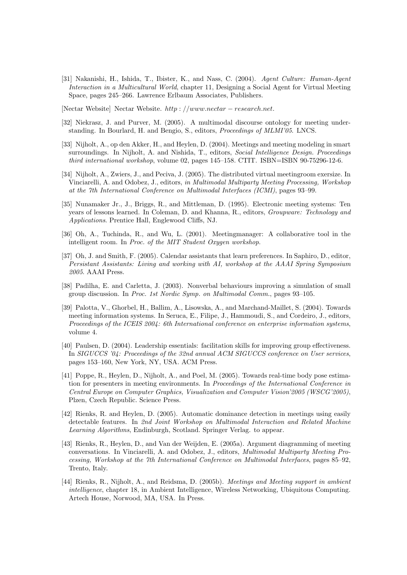[31] Nakanishi, H., Ishida, T., Ibister, K., and Nass, C. (2004). Agent Culture: Human-Agent Interaction in a Multicultural World, chapter 11, Designing a Social Agent for Virtual Meeting Space, pages 245–266. Lawrence Erlbaum Associates, Publishers.

[Nectar Website] Nectar Website. http : //www.nectar − research.net.

- [32] Niekrasz, J. and Purver, M. (2005). A multimodal discourse ontology for meeting understanding. In Bourlard, H. and Bengio, S., editors, Proceedings of MLMI'05. LNCS.
- [33] Nijholt, A., op den Akker, H., and Heylen, D. (2004). Meetings and meeting modeling in smart surroundings. In Nijholt, A. and Nishida, T., editors, Social Intelligence Design. Proceedings third international workshop, volume 02, pages 145–158. CTIT. ISBN=ISBN 90-75296-12-6.
- [34] Nijholt, A., Zwiers, J., and Peciva, J. (2005). The distributed virtual meetingroom exersize. In Vinciarelli, A. and Odobez, J., editors, in Multimodal Multiparty Meeting Processing, Workshop at the 7th International Conference on Multimodal Interfaces (ICMI), pages 93–99.
- [35] Nunamaker Jr., J., Briggs, R., and Mittleman, D. (1995). Electronic meeting systems: Ten years of lessons learned. In Coleman, D. and Khanna, R., editors, Groupware: Technology and Applications. Prentice Hall, Englewood Cliffs, NJ.
- [36] Oh, A., Tuchinda, R., and Wu, L. (2001). Meetingmanager: A collaborative tool in the intelligent room. In Proc. of the MIT Student Oxygen workshop.
- [37] Oh, J. and Smith, F. (2005). Calendar assistants that learn preferences. In Saphiro, D., editor, Persistant Assistants: Living and working with AI, workshop at the AAAI Spring Symposium 2005. AAAI Press.
- [38] Padilha, E. and Carletta, J. (2003). Nonverbal behaviours improving a simulation of small group discussion. In Proc. 1st Nordic Symp. on Multimodal Comm., pages 93–105.
- [39] Palotta, V., Ghorbel, H., Ballim, A., Lisowska, A., and Marchand-Maillet, S. (2004). Towards meeting information systems. In Seruca, E., Filipe, J., Hammoudi, S., and Cordeiro, J., editors, Proceedings of the ICEIS 2004: 6th International conference on enterprise information systems, volume 4.
- [40] Paulsen, D. (2004). Leadership essentials: facilitation skills for improving group effectiveness. In SIGUCCS '04: Proceedings of the 32nd annual ACM SIGUCCS conference on User services, pages 153–160, New York, NY, USA. ACM Press.
- [41] Poppe, R., Heylen, D., Nijholt, A., and Poel, M. (2005). Towards real-time body pose estimation for presenters in meeting environments. In Proceedings of the International Conference in Central Europe on Computer Graphics, Visualization and Computer Vision'2005 (WSCG'2005), Plzen, Czech Republic. Science Press.
- [42] Rienks, R. and Heylen, D. (2005). Automatic dominance detection in meetings using easily detectable features. In 2nd Joint Workshop on Multimodal Interaction and Related Machine Learning Algorithms, Endinburgh, Scotland. Springer Verlag. to appear.
- [43] Rienks, R., Heylen, D., and Van der Weijden, E. (2005a). Argument diagramming of meeting conversations. In Vinciarelli, A. and Odobez, J., editors, Multimodal Multiparty Meeting Processing, Workshop at the 7th International Conference on Multimodal Interfaces, pages 85–92, Trento, Italy.
- [44] Rienks, R., Nijholt, A., and Reidsma, D. (2005b). Meetings and Meeting support in ambient intelligence, chapter 18, in Ambient Intelligence, Wireless Networking, Ubiquitous Computing. Artech House, Norwood, MA, USA. In Press.